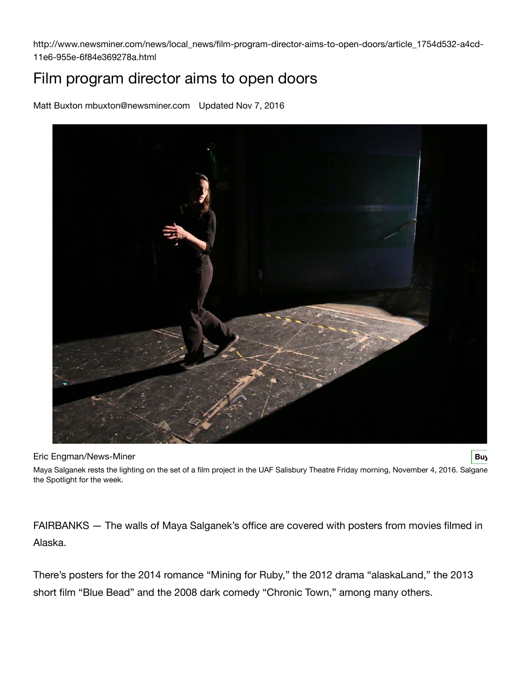http://www.newsminer.com/news/local\_news/film-program-director-aims-to-open-doors/article\_1754d532-a4cd-11e6-955e-6f84e369278a.html

## Film program director aims to open doors

Matt Buxton mbuxton@newsminer.com Updated Nov 7, 2016



**Eric Engman/News-Miner [Buy](http://newsminer.mycapture.com/mycapture/index.asp/mycapture/remoteimage.asp?backtext=Return%20to%20photo&backurl=&thumbpath=http%3A%2F%2Fbloximages.newyork1.vip.townnews.com%2Fnewsminer.com%2Fcontent%2Ftncms%2Fassets%2Fv3%2Feditorial%2Fe%2F0f%2Fe0fc836a-a2e0-11e6-bfb5-bf6967333142%2F581d105d3b776.image.jpg%3Fresize%3D540%252C392&previewpath=http%3A%2F%2Fbloximages.newyork1.vip.townnews.com%2Fnewsminer.com%2Fcontent%2Ftncms%2Fassets%2Fv3%2Feditorial%2Fe%2F0f%2Fe0fc836a-a2e0-11e6-bfb5-bf6967333142%2F581d105d3b776.image.jpg%3Fresize%3D540%252C392¬es=http://bloximages.newyork1.vip.townnews.com/newsminer.com/content/tncms/assets/v3/editorial/e/0f/e0fc836a-a2e0-11e6-bfb5-bf6967333142/581d105d3c83a.~townnews~.jpg) Buy Now the Engman/News-Miner Buy Buy Now the Engman/News-Miner Buy Buy** 

Maya Salganek rests the lighting on the set of a film project in the UAF Salisbury Theatre Friday morning, November 4, 2016. Salgane the Spotlight for the week.

FAIRBANKS — The walls of Maya Salganek's office are covered with posters from movies filmed in Alaska.

There's posters for the 2014 romance "Mining for Ruby," the 2012 drama "alaskaLand," the 2013 short film "Blue Bead" and the 2008 dark comedy "Chronic Town," among many others.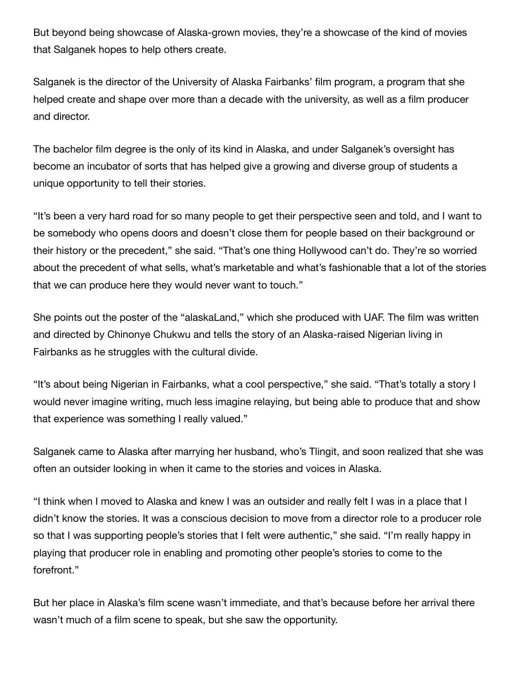But beyond being showcase of Alaska-grown movies, they're a showcase of the kind of movies that Salganek hopes to help others create.

Salganek is the director of the University of Alaska Fairbanks' film program, a program that she helped create and shape over more than a decade with the university, as well as a film producer and director.

The bachelor film degree is the only of its kind in Alaska, and under Salganek's oversight has become an incubator of sorts that has helped give a growing and diverse group of students a unique opportunity to tell their stories.

"It's been a very hard road for so many people to get their perspective seen and told, and I want to be somebody who opens doors and doesn't close them for people based on their background or their history or the precedent," she said. "That's one thing Hollywood can't do. They're so worried about the precedent of what sells, what's marketable and what's fashionable that a lot of the stories that we can produce here they would never want to touch."

She points out the poster of the "alaskaLand," which she produced with UAF. The film was written and directed by Chinonye Chukwu and tells the story of an Alaska-raised Nigerian living in Fairbanks as he struggles with the cultural divide.

"It's about being Nigerian in Fairbanks, what a cool perspective," she said. "That's totally a story I would never imagine writing, much less imagine relaying, but being able to produce that and show that experience was something I really valued."

Salganek came to Alaska after marrying her husband, who's Tlingit, and soon realized that she was often an outsider looking in when it came to the stories and voices in Alaska.

"I think when I moved to Alaska and knew I was an outsider and really felt I was in a place that I didn't know the stories. It was a conscious decision to move from a director role to a producer role so that I was supporting people's stories that I felt were authentic," she said. "I'm really happy in playing that producer role in enabling and promoting other people's stories to come to the forefront."

But her place in Alaska's film scene wasn't immediate, and that's because before her arrival there wasn't much of a film scene to speak, but she saw the opportunity.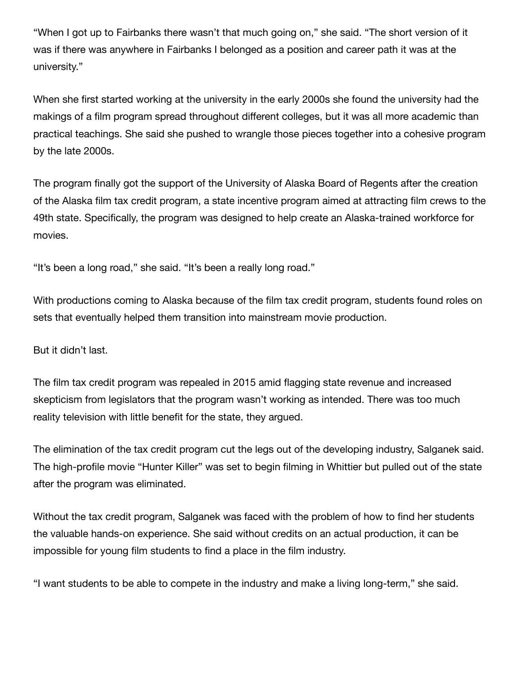"When I got up to Fairbanks there wasn't that much going on," she said. "The short version of it was if there was anywhere in Fairbanks I belonged as a position and career path it was at the university."

When she first started working at the university in the early 2000s she found the university had the makings of a film program spread throughout different colleges, but it was all more academic than practical teachings. She said she pushed to wrangle those pieces together into a cohesive program by the late 2000s.

The program finally got the support of the University of Alaska Board of Regents after the creation of the Alaska film tax credit program, a state incentive program aimed at attracting film crews to the 49th state. Specifically, the program was designed to help create an Alaska-trained workforce for movies.

"It's been a long road," she said. "It's been a really long road."

With productions coming to Alaska because of the film tax credit program, students found roles on sets that eventually helped them transition into mainstream movie production.

But it didn't last.

The film tax credit program was repealed in 2015 amid flagging state revenue and increased skepticism from legislators that the program wasn't working as intended. There was too much reality television with little benefit for the state, they argued.

The elimination of the tax credit program cut the legs out of the developing industry, Salganek said. The high-profile movie "Hunter Killer" was set to begin filming in Whittier but pulled out of the state after the program was eliminated.

Without the tax credit program, Salganek was faced with the problem of how to find her students the valuable hands-on experience. She said without credits on an actual production, it can be impossible for young film students to find a place in the film industry.

"I want students to be able to compete in the industry and make a living long-term," she said.